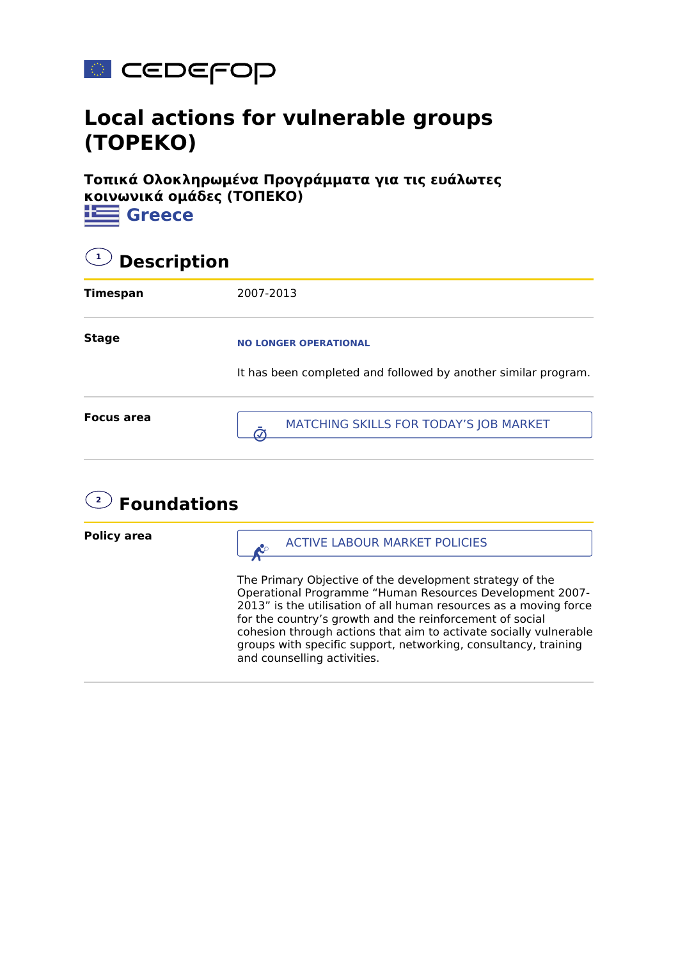

## **Local actions for vulnerable groups (TOPEKO)**

**Τοπικά Ολοκληρωμένα Προγράμματα για τις ευάλωτες κοινωνικά ομάδες (ΤΟΠΕΚΟ) i** Greece

| $\left( \begin{array}{c} 1 \end{array} \right)$<br><b>Description</b> |                                                                                                |  |
|-----------------------------------------------------------------------|------------------------------------------------------------------------------------------------|--|
| <b>Timespan</b>                                                       | 2007-2013                                                                                      |  |
| <b>Stage</b>                                                          | <b>NO LONGER OPERATIONAL</b><br>It has been completed and followed by another similar program. |  |
| <b>Focus area</b>                                                     | MATCHING SKILLS FOR TODAY'S JOB MARKET                                                         |  |
|                                                                       |                                                                                                |  |

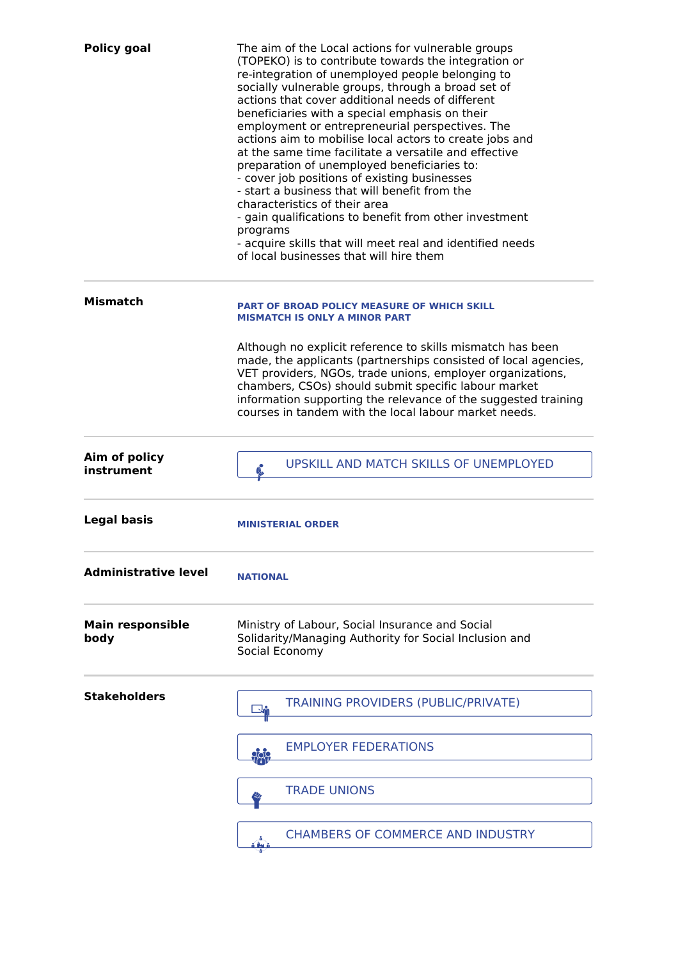| <b>Policy goal</b>              | The aim of the Local actions for vulnerable groups<br>(TOPEKO) is to contribute towards the integration or<br>re-integration of unemployed people belonging to<br>socially vulnerable groups, through a broad set of<br>actions that cover additional needs of different<br>beneficiaries with a special emphasis on their<br>employment or entrepreneurial perspectives. The<br>actions aim to mobilise local actors to create jobs and<br>at the same time facilitate a versatile and effective<br>preparation of unemployed beneficiaries to:<br>- cover job positions of existing businesses<br>- start a business that will benefit from the<br>characteristics of their area<br>- gain qualifications to benefit from other investment<br>programs<br>- acquire skills that will meet real and identified needs<br>of local businesses that will hire them |
|---------------------------------|------------------------------------------------------------------------------------------------------------------------------------------------------------------------------------------------------------------------------------------------------------------------------------------------------------------------------------------------------------------------------------------------------------------------------------------------------------------------------------------------------------------------------------------------------------------------------------------------------------------------------------------------------------------------------------------------------------------------------------------------------------------------------------------------------------------------------------------------------------------|
| <b>Mismatch</b>                 | PART OF BROAD POLICY MEASURE OF WHICH SKILL<br><b>MISMATCH IS ONLY A MINOR PART</b>                                                                                                                                                                                                                                                                                                                                                                                                                                                                                                                                                                                                                                                                                                                                                                              |
|                                 | Although no explicit reference to skills mismatch has been<br>made, the applicants (partnerships consisted of local agencies,<br>VET providers, NGOs, trade unions, employer organizations,<br>chambers, CSOs) should submit specific labour market<br>information supporting the relevance of the suggested training<br>courses in tandem with the local labour market needs.                                                                                                                                                                                                                                                                                                                                                                                                                                                                                   |
| Aim of policy<br>instrument     | <b>UPSKILL AND MATCH SKILLS OF UNEMPLOYED</b>                                                                                                                                                                                                                                                                                                                                                                                                                                                                                                                                                                                                                                                                                                                                                                                                                    |
| <b>Legal basis</b>              | <b>MINISTERIAL ORDER</b>                                                                                                                                                                                                                                                                                                                                                                                                                                                                                                                                                                                                                                                                                                                                                                                                                                         |
| <b>Administrative level</b>     | <b>NATIONAL</b>                                                                                                                                                                                                                                                                                                                                                                                                                                                                                                                                                                                                                                                                                                                                                                                                                                                  |
| <b>Main responsible</b><br>body | Ministry of Labour, Social Insurance and Social<br>Solidarity/Managing Authority for Social Inclusion and<br>Social Economy                                                                                                                                                                                                                                                                                                                                                                                                                                                                                                                                                                                                                                                                                                                                      |
| <b>Stakeholders</b>             | <b>TRAINING PROVIDERS (PUBLIC/PRIVATE)</b><br>↴▃                                                                                                                                                                                                                                                                                                                                                                                                                                                                                                                                                                                                                                                                                                                                                                                                                 |
|                                 | <b>EMPLOYER FEDERATIONS</b><br>$\frac{1}{2}$                                                                                                                                                                                                                                                                                                                                                                                                                                                                                                                                                                                                                                                                                                                                                                                                                     |
|                                 | <b>TRADE UNIONS</b>                                                                                                                                                                                                                                                                                                                                                                                                                                                                                                                                                                                                                                                                                                                                                                                                                                              |
|                                 | <b>CHAMBERS OF COMMERCE AND INDUSTRY</b>                                                                                                                                                                                                                                                                                                                                                                                                                                                                                                                                                                                                                                                                                                                                                                                                                         |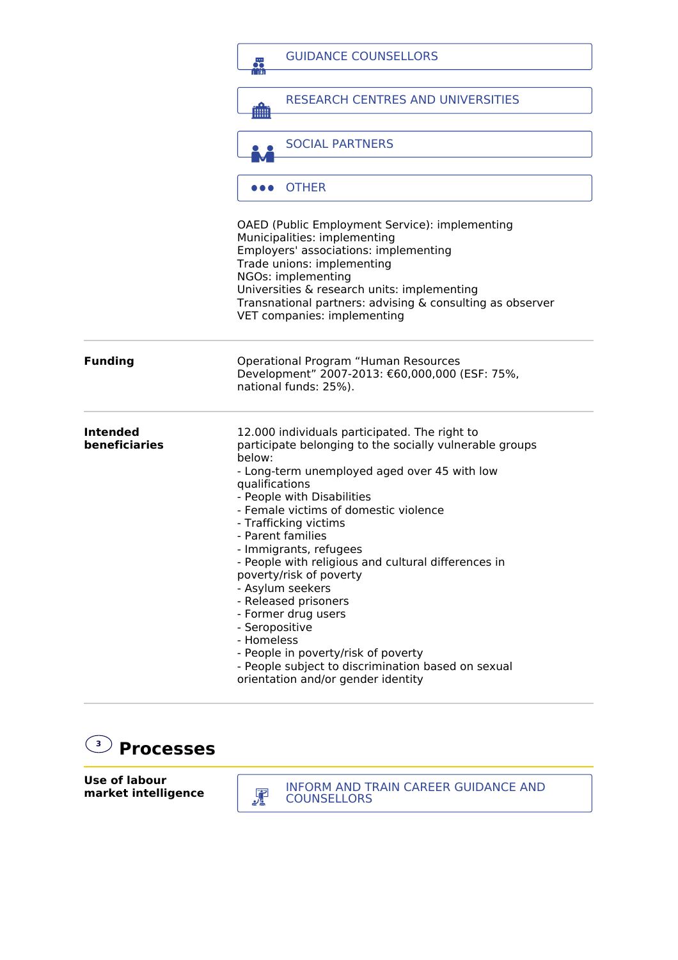|                                  | <b>GUIDANCE COUNSELLORS</b><br>品                                                                                                                                                                                                                                                                                                                                                                                                                                                                                                                                                                                                                            |
|----------------------------------|-------------------------------------------------------------------------------------------------------------------------------------------------------------------------------------------------------------------------------------------------------------------------------------------------------------------------------------------------------------------------------------------------------------------------------------------------------------------------------------------------------------------------------------------------------------------------------------------------------------------------------------------------------------|
|                                  | <b>RESEARCH CENTRES AND UNIVERSITIES</b><br>THH I                                                                                                                                                                                                                                                                                                                                                                                                                                                                                                                                                                                                           |
|                                  | <b>SOCIAL PARTNERS</b>                                                                                                                                                                                                                                                                                                                                                                                                                                                                                                                                                                                                                                      |
|                                  | <b>OTHER</b>                                                                                                                                                                                                                                                                                                                                                                                                                                                                                                                                                                                                                                                |
|                                  | OAED (Public Employment Service): implementing<br>Municipalities: implementing<br>Employers' associations: implementing<br>Trade unions: implementing<br>NGOs: implementing<br>Universities & research units: implementing<br>Transnational partners: advising & consulting as observer<br>VET companies: implementing                                                                                                                                                                                                                                                                                                                                      |
| <b>Funding</b>                   | Operational Program "Human Resources<br>Development" 2007-2013: €60,000,000 (ESF: 75%,<br>national funds: 25%).                                                                                                                                                                                                                                                                                                                                                                                                                                                                                                                                             |
| <b>Intended</b><br>beneficiaries | 12.000 individuals participated. The right to<br>participate belonging to the socially vulnerable groups<br>below:<br>- Long-term unemployed aged over 45 with low<br>qualifications<br>- People with Disabilities<br>- Female victims of domestic violence<br>- Trafficking victims<br>- Parent families<br>- Immigrants, refugees<br>- People with religious and cultural differences in<br>poverty/risk of poverty<br>- Asylum seekers<br>- Released prisoners<br>- Former drug users<br>- Seropositive<br>- Homeless<br>- People in poverty/risk of poverty<br>- People subject to discrimination based on sexual<br>orientation and/or gender identity |



**Use of labour market intelligence**

INFORM AND TRAIN CAREER GUIDANCE AND COUNSELLORS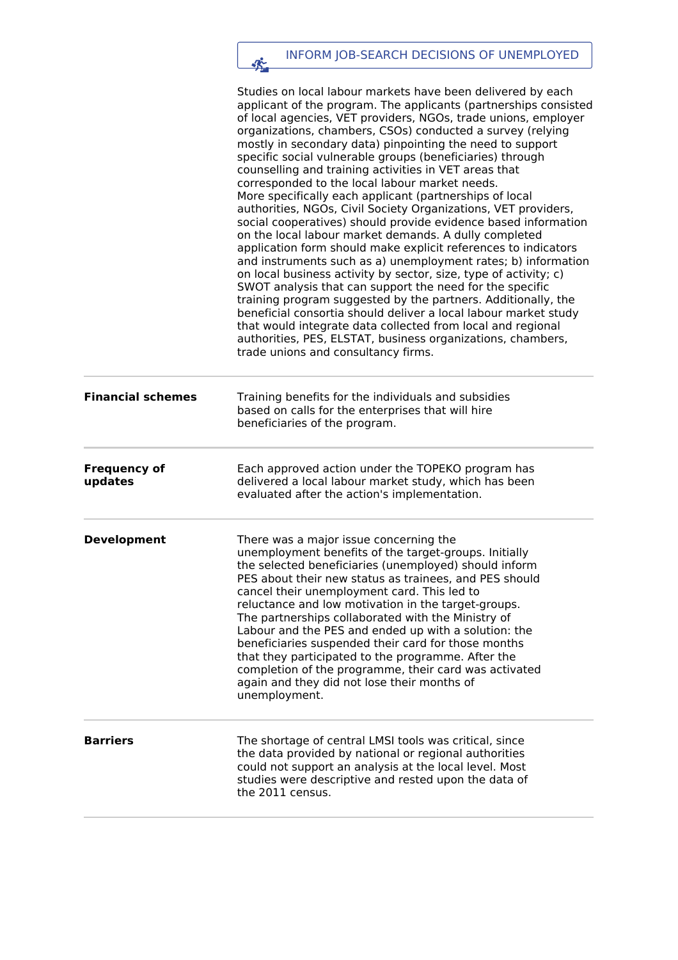## INFORM JOB-SEARCH DECISIONS OF UNEMPLOYED

|                                | Studies on local labour markets have been delivered by each                                                                                                                                                                                                                                                                                                                                                                                                                                                                                                                                                                                                                                                                                                                                                                                                                                                                                                                                                                                                                                                                                                                                                                                                               |
|--------------------------------|---------------------------------------------------------------------------------------------------------------------------------------------------------------------------------------------------------------------------------------------------------------------------------------------------------------------------------------------------------------------------------------------------------------------------------------------------------------------------------------------------------------------------------------------------------------------------------------------------------------------------------------------------------------------------------------------------------------------------------------------------------------------------------------------------------------------------------------------------------------------------------------------------------------------------------------------------------------------------------------------------------------------------------------------------------------------------------------------------------------------------------------------------------------------------------------------------------------------------------------------------------------------------|
|                                | applicant of the program. The applicants (partnerships consisted<br>of local agencies, VET providers, NGOs, trade unions, employer<br>organizations, chambers, CSOs) conducted a survey (relying<br>mostly in secondary data) pinpointing the need to support<br>specific social vulnerable groups (beneficiaries) through<br>counselling and training activities in VET areas that<br>corresponded to the local labour market needs.<br>More specifically each applicant (partnerships of local<br>authorities, NGOs, Civil Society Organizations, VET providers,<br>social cooperatives) should provide evidence based information<br>on the local labour market demands. A dully completed<br>application form should make explicit references to indicators<br>and instruments such as a) unemployment rates; b) information<br>on local business activity by sector, size, type of activity; c)<br>SWOT analysis that can support the need for the specific<br>training program suggested by the partners. Additionally, the<br>beneficial consortia should deliver a local labour market study<br>that would integrate data collected from local and regional<br>authorities, PES, ELSTAT, business organizations, chambers,<br>trade unions and consultancy firms. |
| <b>Financial schemes</b>       | Training benefits for the individuals and subsidies<br>based on calls for the enterprises that will hire<br>beneficiaries of the program.                                                                                                                                                                                                                                                                                                                                                                                                                                                                                                                                                                                                                                                                                                                                                                                                                                                                                                                                                                                                                                                                                                                                 |
| <b>Frequency of</b><br>updates | Each approved action under the TOPEKO program has<br>delivered a local labour market study, which has been<br>evaluated after the action's implementation.                                                                                                                                                                                                                                                                                                                                                                                                                                                                                                                                                                                                                                                                                                                                                                                                                                                                                                                                                                                                                                                                                                                |
| <b>Development</b>             | There was a major issue concerning the<br>unemployment benefits of the target-groups. Initially<br>the selected beneficiaries (unemployed) should inform<br>PES about their new status as trainees, and PES should<br>cancel their unemployment card. This led to<br>reluctance and low motivation in the target-groups.<br>The partnerships collaborated with the Ministry of<br>Labour and the PES and ended up with a solution: the<br>beneficiaries suspended their card for those months<br>that they participated to the programme. After the<br>completion of the programme, their card was activated<br>again and they did not lose their months of<br>unemployment.                                                                                                                                                                                                                                                                                                                                                                                                                                                                                                                                                                                              |
| <b>Barriers</b>                | The shortage of central LMSI tools was critical, since<br>the data provided by national or regional authorities<br>could not support an analysis at the local level. Most<br>studies were descriptive and rested upon the data of<br>the 2011 census.                                                                                                                                                                                                                                                                                                                                                                                                                                                                                                                                                                                                                                                                                                                                                                                                                                                                                                                                                                                                                     |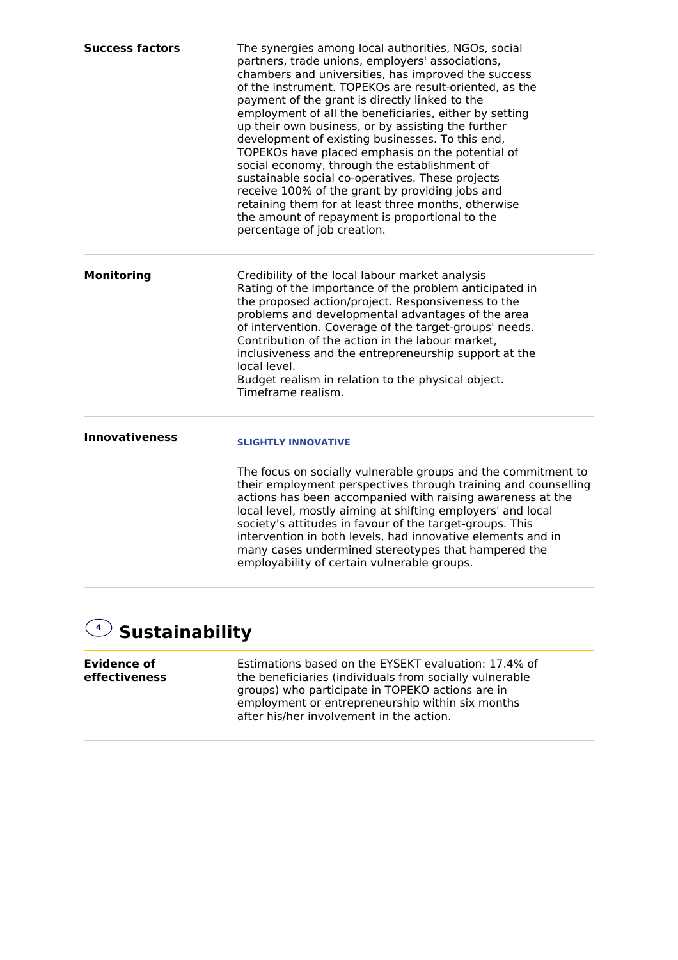| <b>Success factors</b> | The synergies among local authorities, NGOs, social<br>partners, trade unions, employers' associations,<br>chambers and universities, has improved the success<br>of the instrument. TOPEKOs are result-oriented, as the<br>payment of the grant is directly linked to the<br>employment of all the beneficiaries, either by setting<br>up their own business, or by assisting the further<br>development of existing businesses. To this end,<br>TOPEKOs have placed emphasis on the potential of<br>social economy, through the establishment of<br>sustainable social co-operatives. These projects<br>receive 100% of the grant by providing jobs and<br>retaining them for at least three months, otherwise<br>the amount of repayment is proportional to the<br>percentage of job creation. |
|------------------------|---------------------------------------------------------------------------------------------------------------------------------------------------------------------------------------------------------------------------------------------------------------------------------------------------------------------------------------------------------------------------------------------------------------------------------------------------------------------------------------------------------------------------------------------------------------------------------------------------------------------------------------------------------------------------------------------------------------------------------------------------------------------------------------------------|
| <b>Monitoring</b>      | Credibility of the local labour market analysis<br>Rating of the importance of the problem anticipated in<br>the proposed action/project. Responsiveness to the<br>problems and developmental advantages of the area<br>of intervention. Coverage of the target-groups' needs.<br>Contribution of the action in the labour market,<br>inclusiveness and the entrepreneurship support at the<br>local level.<br>Budget realism in relation to the physical object.<br>Timeframe realism.                                                                                                                                                                                                                                                                                                           |
| <b>Innovativeness</b>  | <b>SLIGHTLY INNOVATIVE</b><br>The focus on socially vulnerable groups and the commitment to<br>their employment perspectives through training and counselling<br>actions has been accompanied with raising awareness at the<br>local level, mostly aiming at shifting employers' and local<br>society's attitudes in favour of the target-groups. This<br>intervention in both levels, had innovative elements and in                                                                                                                                                                                                                                                                                                                                                                             |
|                        | many cases undermined stereotypes that hampered the<br>employability of certain vulnerable groups.                                                                                                                                                                                                                                                                                                                                                                                                                                                                                                                                                                                                                                                                                                |

## **4 Sustainability**

| Evidence of   | Estimations based on the EYSEKT evaluation: 17.4% of                                                                                             |
|---------------|--------------------------------------------------------------------------------------------------------------------------------------------------|
| effectiveness | the beneficiaries (individuals from socially vulnerable                                                                                          |
|               | groups) who participate in TOPEKO actions are in<br>employment or entrepreneurship within six months<br>after his/her involvement in the action. |